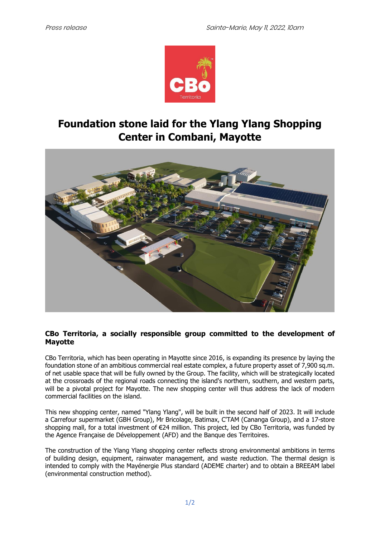

# **Foundation stone laid for the Ylang Ylang Shopping Center in Combani, Mayotte**



# **CBo Territoria, a socially responsible group committed to the development of Mayotte**

CBo Territoria, which has been operating in Mayotte since 2016, is expanding its presence by laying the foundation stone of an ambitious commercial real estate complex, a future property asset of 7,900 sq.m. of net usable space that will be fully owned by the Group. The facility, which will be strategically located at the crossroads of the regional roads connecting the island's northern, southern, and western parts, will be a pivotal project for Mayotte. The new shopping center will thus address the lack of modern commercial facilities on the island.

This new shopping center, named "Ylang Ylang", will be built in the second half of 2023. It will include a Carrefour supermarket (GBH Group), Mr Bricolage, Batimax, C'TAM (Cananga Group), and a 17-store shopping mall, for a total investment of €24 million. This project, led by CBo Territoria, was funded by the Agence Française de Développement (AFD) and the Banque des Territoires.

The construction of the Ylang Ylang shopping center reflects strong environmental ambitions in terms of building design, equipment, rainwater management, and waste reduction. The thermal design is intended to comply with the Mayénergie Plus standard (ADEME charter) and to obtain a BREEAM label (environmental construction method).